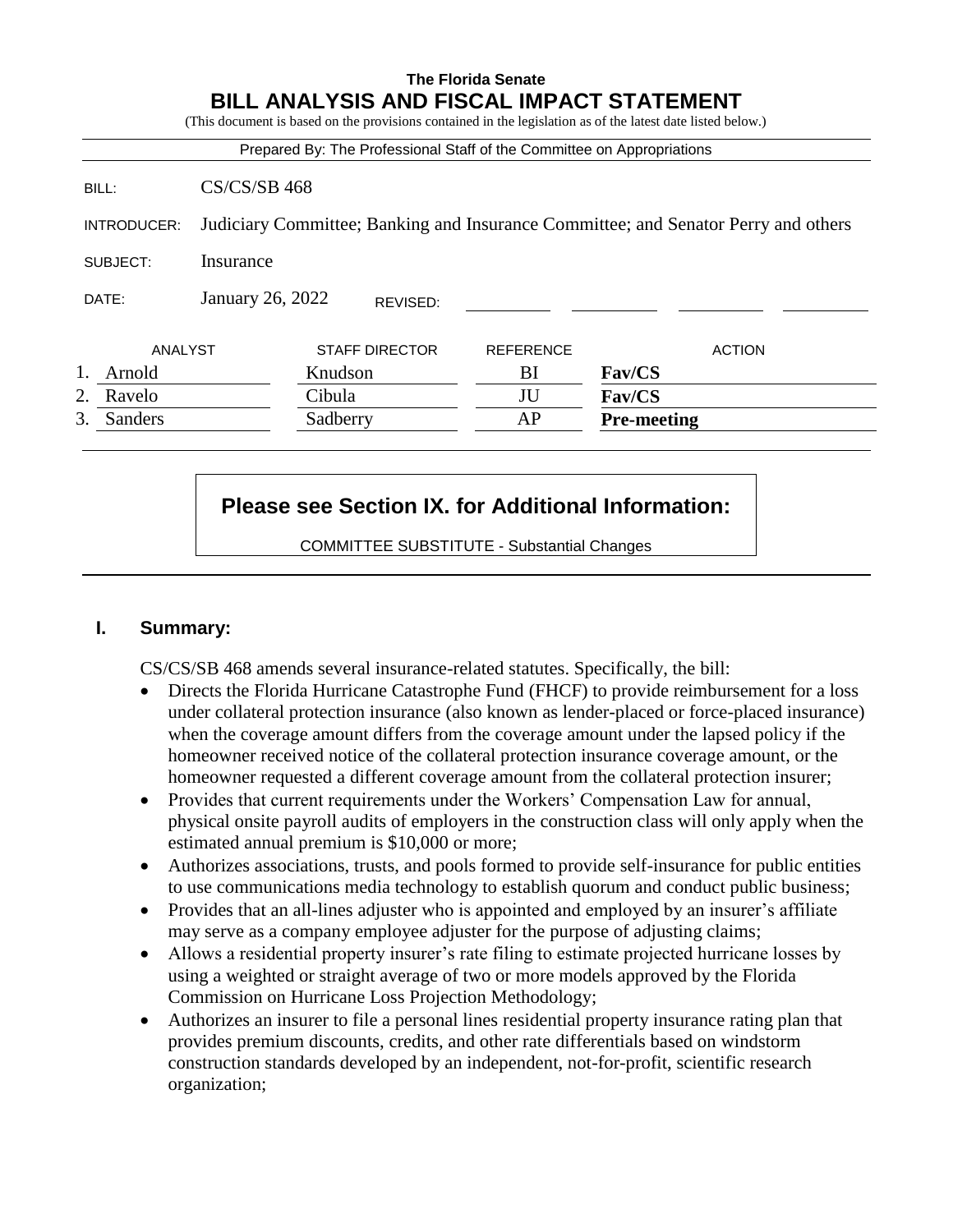# **The Florida Senate BILL ANALYSIS AND FISCAL IMPACT STATEMENT** (This document is based on the provisions contained in the legislation as of the latest date listed below.) Prepared By: The Professional Staff of the Committee on Appropriations BILL: CS/CS/SB 468 INTRODUCER: Judiciary Committee; Banking and Insurance Committee; and Senator Perry and others SUBJECT: Insurance DATE: January 26, 2022 ANALYST STAFF DIRECTOR REFERENCE ACTION 1. Arnold Knudson BI **Fav/CS** 2. Ravelo Cibula JU **Fav/CS** 3. Sanders Sadberry AP **Pre-meeting** REVISED:

# **Please see Section IX. for Additional Information:**

COMMITTEE SUBSTITUTE - Substantial Changes

# **I. Summary:**

CS/CS/SB 468 amends several insurance-related statutes. Specifically, the bill:

- Directs the Florida Hurricane Catastrophe Fund (FHCF) to provide reimbursement for a loss under collateral protection insurance (also known as lender-placed or force-placed insurance) when the coverage amount differs from the coverage amount under the lapsed policy if the homeowner received notice of the collateral protection insurance coverage amount, or the homeowner requested a different coverage amount from the collateral protection insurer;
- Provides that current requirements under the Workers' Compensation Law for annual, physical onsite payroll audits of employers in the construction class will only apply when the estimated annual premium is \$10,000 or more;
- Authorizes associations, trusts, and pools formed to provide self-insurance for public entities to use communications media technology to establish quorum and conduct public business;
- Provides that an all-lines adjuster who is appointed and employed by an insurer's affiliate may serve as a company employee adjuster for the purpose of adjusting claims;
- Allows a residential property insurer's rate filing to estimate projected hurricane losses by using a weighted or straight average of two or more models approved by the Florida Commission on Hurricane Loss Projection Methodology;
- Authorizes an insurer to file a personal lines residential property insurance rating plan that provides premium discounts, credits, and other rate differentials based on windstorm construction standards developed by an independent, not-for-profit, scientific research organization;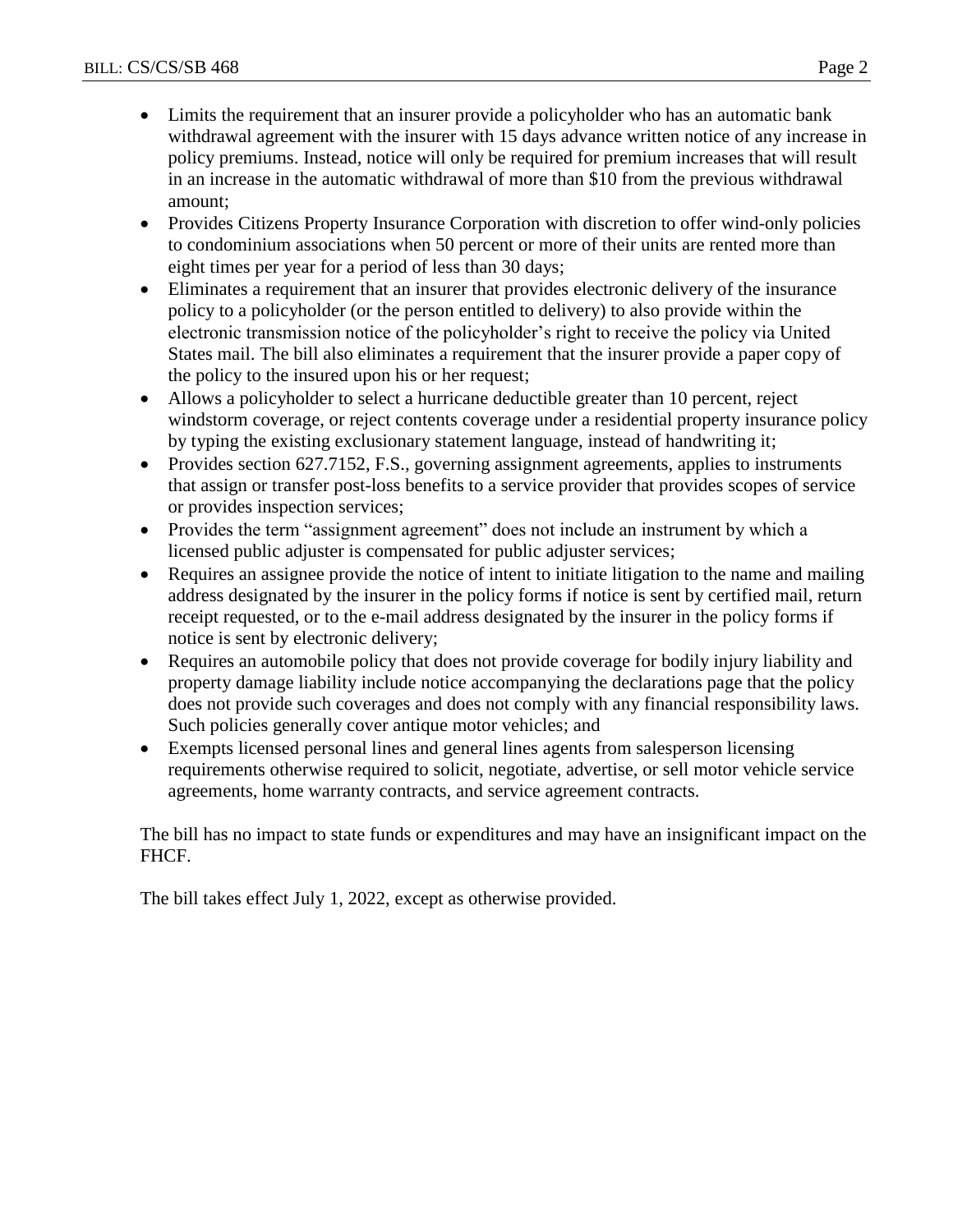- Limits the requirement that an insurer provide a policyholder who has an automatic bank withdrawal agreement with the insurer with 15 days advance written notice of any increase in policy premiums. Instead, notice will only be required for premium increases that will result in an increase in the automatic withdrawal of more than \$10 from the previous withdrawal amount;
- Provides Citizens Property Insurance Corporation with discretion to offer wind-only policies to condominium associations when 50 percent or more of their units are rented more than eight times per year for a period of less than 30 days;
- Eliminates a requirement that an insurer that provides electronic delivery of the insurance policy to a policyholder (or the person entitled to delivery) to also provide within the electronic transmission notice of the policyholder's right to receive the policy via United States mail. The bill also eliminates a requirement that the insurer provide a paper copy of the policy to the insured upon his or her request;
- Allows a policyholder to select a hurricane deductible greater than 10 percent, reject windstorm coverage, or reject contents coverage under a residential property insurance policy by typing the existing exclusionary statement language, instead of handwriting it;
- Provides section 627.7152, F.S., governing assignment agreements, applies to instruments that assign or transfer post-loss benefits to a service provider that provides scopes of service or provides inspection services;
- Provides the term "assignment agreement" does not include an instrument by which a licensed public adjuster is compensated for public adjuster services;
- Requires an assignee provide the notice of intent to initiate litigation to the name and mailing address designated by the insurer in the policy forms if notice is sent by certified mail, return receipt requested, or to the e-mail address designated by the insurer in the policy forms if notice is sent by electronic delivery;
- Requires an automobile policy that does not provide coverage for bodily injury liability and property damage liability include notice accompanying the declarations page that the policy does not provide such coverages and does not comply with any financial responsibility laws. Such policies generally cover antique motor vehicles; and
- Exempts licensed personal lines and general lines agents from salesperson licensing requirements otherwise required to solicit, negotiate, advertise, or sell motor vehicle service agreements, home warranty contracts, and service agreement contracts.

The bill has no impact to state funds or expenditures and may have an insignificant impact on the FHCF.

The bill takes effect July 1, 2022, except as otherwise provided.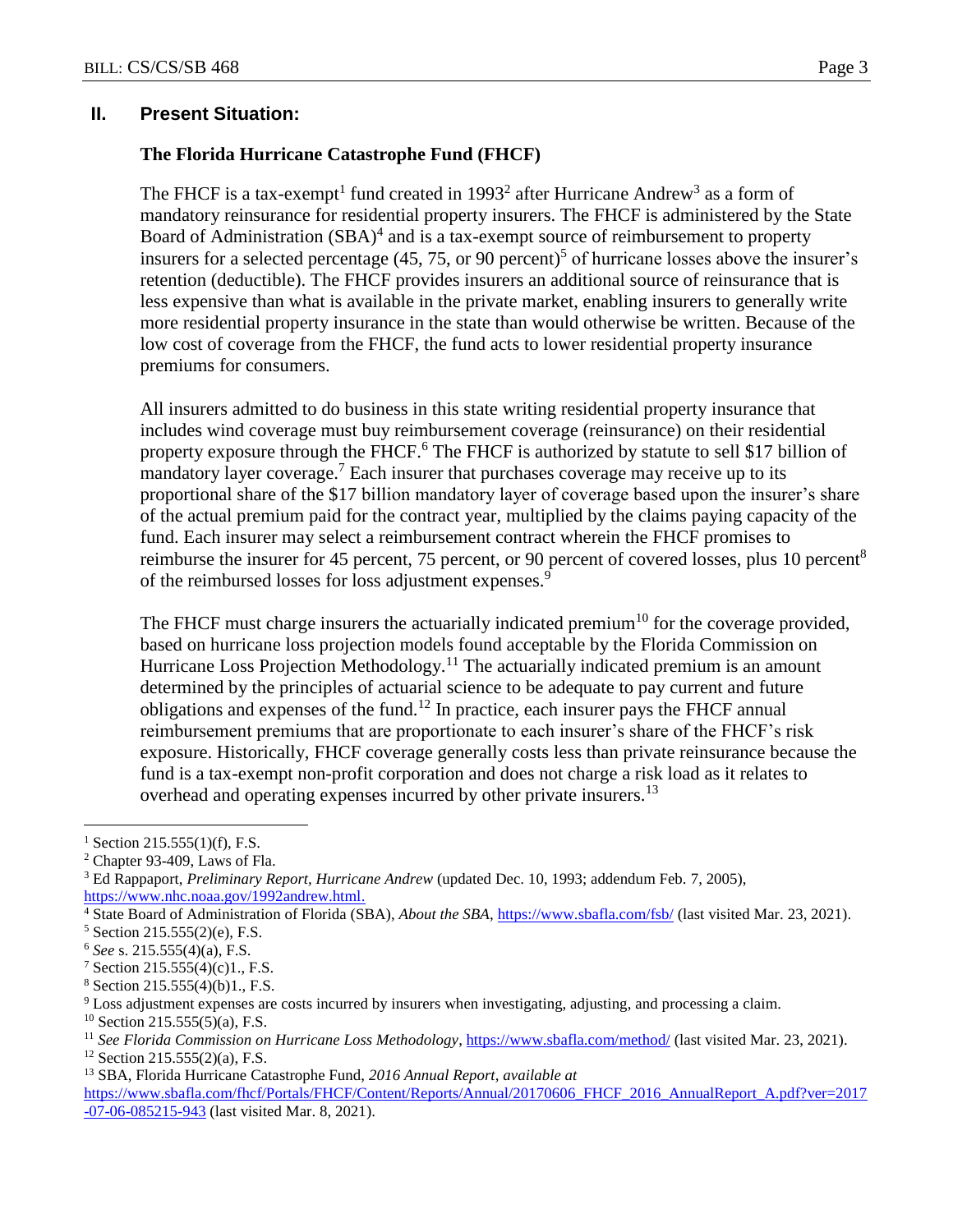## **II. Present Situation:**

## **The Florida Hurricane Catastrophe Fund (FHCF)**

The FHCF is a tax-exempt<sup>1</sup> fund created in 1993<sup>2</sup> after Hurricane Andrew<sup>3</sup> as a form of mandatory reinsurance for residential property insurers. The FHCF is administered by the State Board of Administration  $(SBA)^4$  and is a tax-exempt source of reimbursement to property insurers for a selected percentage  $(45, 75, or 90$  percent)<sup>5</sup> of hurricane losses above the insurer's retention (deductible). The FHCF provides insurers an additional source of reinsurance that is less expensive than what is available in the private market, enabling insurers to generally write more residential property insurance in the state than would otherwise be written. Because of the low cost of coverage from the FHCF, the fund acts to lower residential property insurance premiums for consumers.

All insurers admitted to do business in this state writing residential property insurance that includes wind coverage must buy reimbursement coverage (reinsurance) on their residential property exposure through the FHCF.<sup>6</sup> The FHCF is authorized by statute to sell \$17 billion of mandatory layer coverage.<sup>7</sup> Each insurer that purchases coverage may receive up to its proportional share of the \$17 billion mandatory layer of coverage based upon the insurer's share of the actual premium paid for the contract year, multiplied by the claims paying capacity of the fund. Each insurer may select a reimbursement contract wherein the FHCF promises to reimburse the insurer for 45 percent, 75 percent, or 90 percent of covered losses, plus 10 percent<sup>8</sup> of the reimbursed losses for loss adjustment expenses.<sup>9</sup>

The FHCF must charge insurers the actuarially indicated premium<sup>10</sup> for the coverage provided, based on hurricane loss projection models found acceptable by the Florida Commission on Hurricane Loss Projection Methodology.<sup>11</sup> The actuarially indicated premium is an amount determined by the principles of actuarial science to be adequate to pay current and future obligations and expenses of the fund.<sup>12</sup> In practice, each insurer pays the FHCF annual reimbursement premiums that are proportionate to each insurer's share of the FHCF's risk exposure. Historically, FHCF coverage generally costs less than private reinsurance because the fund is a tax-exempt non-profit corporation and does not charge a risk load as it relates to overhead and operating expenses incurred by other private insurers.<sup>13</sup>

 $1$  Section 215.555(1)(f), F.S.

<sup>2</sup> Chapter 93-409, Laws of Fla.

<sup>3</sup> Ed Rappaport, *Preliminary Report, Hurricane Andrew* (updated Dec. 10, 1993; addendum Feb. 7, 2005), [https://www.nhc.noaa.gov/1992andrew.html.](https://www.nhc.noaa.gov/1992andrew.html)

<sup>4</sup> State Board of Administration of Florida (SBA), *About the SBA*[, https://www.sbafla.com/fsb/](https://www.sbafla.com/fsb/) (last visited Mar. 23, 2021).

<sup>5</sup> Section 215.555(2)(e), F.S.

<sup>6</sup> *See* s. 215.555(4)(a), F.S.

<sup>7</sup> Section 215.555(4)(c)1., F.S.

 $8$  Section 215.555(4)(b)1., F.S.

<sup>9</sup> Loss adjustment expenses are costs incurred by insurers when investigating, adjusting, and processing a claim.

 $10$  Section 215.555(5)(a), F.S.

<sup>11</sup> *See Florida Commission on Hurricane Loss Methodology*[, https://www.sbafla.com/method/](https://www.sbafla.com/method/) (last visited Mar. 23, 2021).

 $12$  Section 215.555(2)(a), F.S.

<sup>13</sup> SBA, Florida Hurricane Catastrophe Fund, *2016 Annual Report*, *available at*  [https://www.sbafla.com/fhcf/Portals/FHCF/Content/Reports/Annual/20170606\\_FHCF\\_2016\\_AnnualReport\\_A.pdf?ver=2017](https://www.sbafla.com/fhcf/Portals/FHCF/Content/Reports/Annual/20170606_FHCF_2016_AnnualReport_A.pdf?ver=2017) -07-06-085215-943 (last visited Mar. 8, 2021).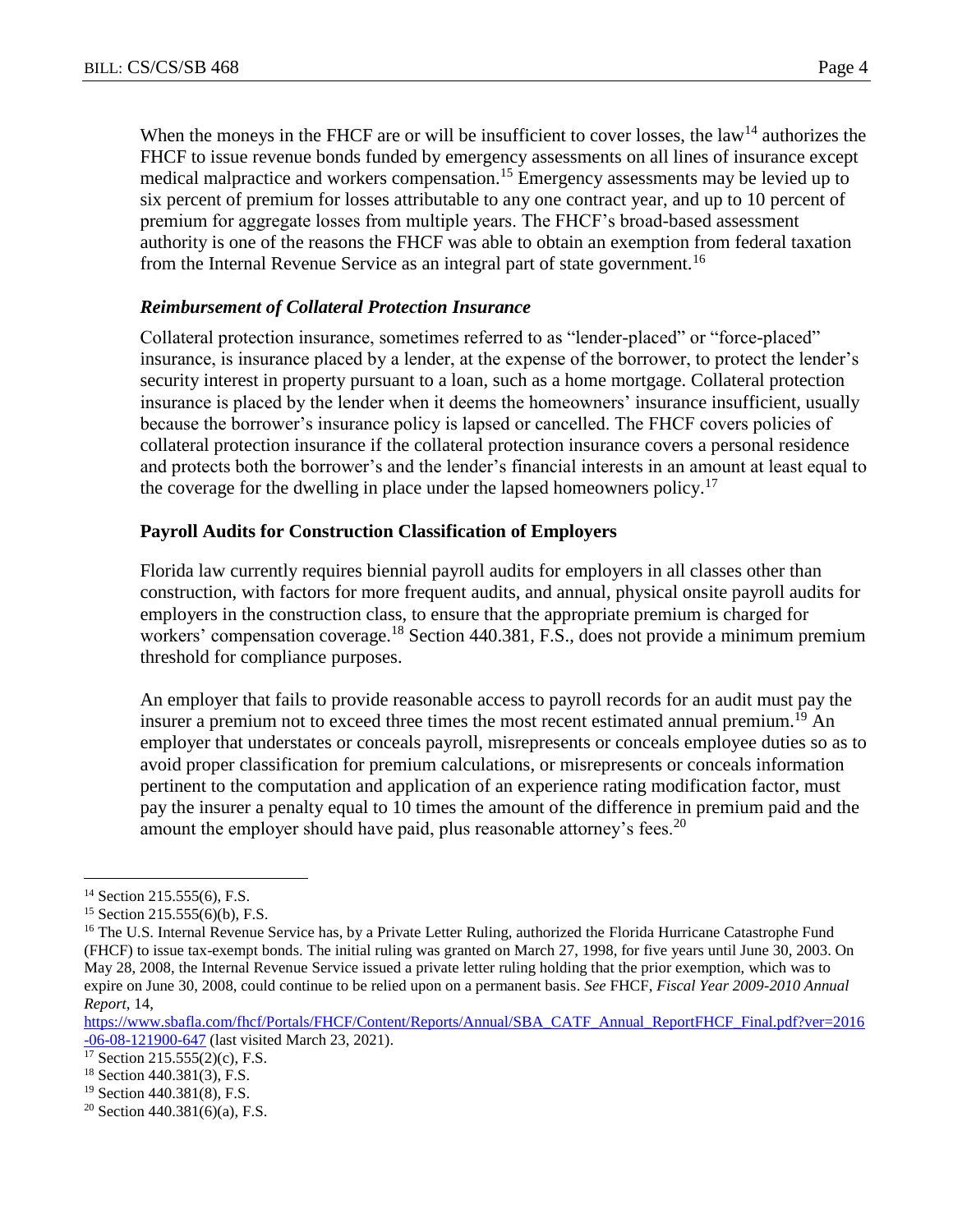When the moneys in the FHCF are or will be insufficient to cover losses, the law<sup>14</sup> authorizes the FHCF to issue revenue bonds funded by emergency assessments on all lines of insurance except medical malpractice and workers compensation.<sup>15</sup> Emergency assessments may be levied up to six percent of premium for losses attributable to any one contract year, and up to 10 percent of premium for aggregate losses from multiple years. The FHCF's broad-based assessment authority is one of the reasons the FHCF was able to obtain an exemption from federal taxation from the Internal Revenue Service as an integral part of state government.<sup>16</sup>

# *Reimbursement of Collateral Protection Insurance*

Collateral protection insurance, sometimes referred to as "lender-placed" or "force-placed" insurance, is insurance placed by a lender, at the expense of the borrower, to protect the lender's security interest in property pursuant to a loan, such as a home mortgage. Collateral protection insurance is placed by the lender when it deems the homeowners' insurance insufficient, usually because the borrower's insurance policy is lapsed or cancelled. The FHCF covers policies of collateral protection insurance if the collateral protection insurance covers a personal residence and protects both the borrower's and the lender's financial interests in an amount at least equal to the coverage for the dwelling in place under the lapsed homeowners policy.<sup>17</sup>

## **Payroll Audits for Construction Classification of Employers**

Florida law currently requires biennial payroll audits for employers in all classes other than construction, with factors for more frequent audits, and annual, physical onsite payroll audits for employers in the construction class, to ensure that the appropriate premium is charged for workers' compensation coverage.<sup>18</sup> Section 440.381, F.S., does not provide a minimum premium threshold for compliance purposes.

An employer that fails to provide reasonable access to payroll records for an audit must pay the insurer a premium not to exceed three times the most recent estimated annual premium.<sup>19</sup> An employer that understates or conceals payroll, misrepresents or conceals employee duties so as to avoid proper classification for premium calculations, or misrepresents or conceals information pertinent to the computation and application of an experience rating modification factor, must pay the insurer a penalty equal to 10 times the amount of the difference in premium paid and the amount the employer should have paid, plus reasonable attorney's fees.<sup>20</sup>

<sup>&</sup>lt;sup>14</sup> Section 215.555(6), F.S.

 $15$  Section 215.555(6)(b), F.S.

<sup>&</sup>lt;sup>16</sup> The U.S. Internal Revenue Service has, by a Private Letter Ruling, authorized the Florida Hurricane Catastrophe Fund (FHCF) to issue tax-exempt bonds. The initial ruling was granted on March 27, 1998, for five years until June 30, 2003. On May 28, 2008, the Internal Revenue Service issued a private letter ruling holding that the prior exemption, which was to expire on June 30, 2008, could continue to be relied upon on a permanent basis. *See* FHCF, *Fiscal Year 2009-2010 Annual Report*, 14,

[https://www.sbafla.com/fhcf/Portals/FHCF/Content/Reports/Annual/SBA\\_CATF\\_Annual\\_ReportFHCF\\_Final.pdf?ver=2016](https://www.sbafla.com/fhcf/Portals/FHCF/Content/Reports/Annual/SBA_CATF_Annual_ReportFHCF_Final.pdf?ver=2016-06-08-121900-647) [-06-08-121900-647](https://www.sbafla.com/fhcf/Portals/FHCF/Content/Reports/Annual/SBA_CATF_Annual_ReportFHCF_Final.pdf?ver=2016-06-08-121900-647) (last visited March 23, 2021).

<sup>17</sup> Section 215.555(2)(c), F.S.

<sup>18</sup> Section 440.381(3), F.S.

<sup>19</sup> Section 440.381(8), F.S.

<sup>&</sup>lt;sup>20</sup> Section 440.381(6)(a), F.S.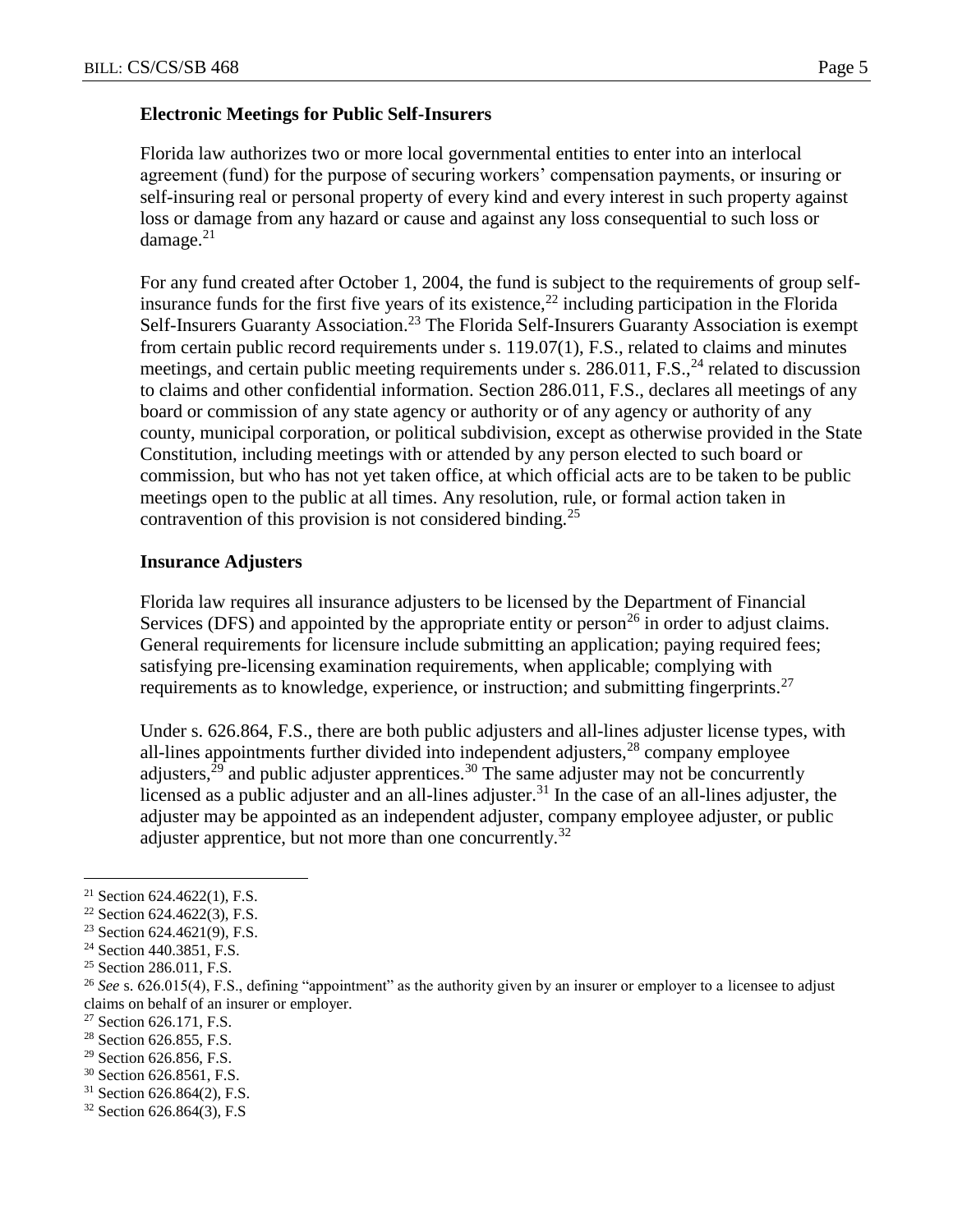Florida law authorizes two or more local governmental entities to enter into an interlocal agreement (fund) for the purpose of securing workers' compensation payments, or insuring or self-insuring real or personal property of every kind and every interest in such property against loss or damage from any hazard or cause and against any loss consequential to such loss or damage. $21$ 

For any fund created after October 1, 2004, the fund is subject to the requirements of group selfinsurance funds for the first five years of its existence,<sup>22</sup> including participation in the Florida Self-Insurers Guaranty Association.<sup>23</sup> The Florida Self-Insurers Guaranty Association is exempt from certain public record requirements under s. 119.07(1), F.S., related to claims and minutes meetings, and certain public meeting requirements under s.  $286.011$ , F.S., <sup>24</sup> related to discussion to claims and other confidential information. Section 286.011, F.S., declares all meetings of any board or commission of any state agency or authority or of any agency or authority of any county, municipal corporation, or political subdivision, except as otherwise provided in the State Constitution, including meetings with or attended by any person elected to such board or commission, but who has not yet taken office, at which official acts are to be taken to be public meetings open to the public at all times. Any resolution, rule, or formal action taken in contravention of this provision is not considered binding.<sup>25</sup>

# **Insurance Adjusters**

Florida law requires all insurance adjusters to be licensed by the Department of Financial Services (DFS) and appointed by the appropriate entity or person<sup>26</sup> in order to adjust claims. General requirements for licensure include submitting an application; paying required fees; satisfying pre-licensing examination requirements, when applicable; complying with requirements as to knowledge, experience, or instruction; and submitting fingerprints.<sup>27</sup>

Under s. 626.864, F.S., there are both public adjusters and all-lines adjuster license types, with all-lines appointments further divided into independent adjusters, $28$  company employee adjusters,  $29$  and public adjuster apprentices.<sup>30</sup> The same adjuster may not be concurrently licensed as a public adjuster and an all-lines adjuster.<sup>31</sup> In the case of an all-lines adjuster, the adjuster may be appointed as an independent adjuster, company employee adjuster, or public adjuster apprentice, but not more than one concurrently.<sup>32</sup>

- <sup>29</sup> Section 626.856, F.S.
- <sup>30</sup> Section 626.8561, F.S.
- <sup>31</sup> Section 626.864(2), F.S.

<sup>&</sup>lt;sup>21</sup> Section 624.4622(1), F.S.

 $22$  Section 624.4622(3), F.S.

<sup>23</sup> Section 624.4621(9), F.S.

<sup>&</sup>lt;sup>24</sup> Section 440.3851, F.S.

<sup>&</sup>lt;sup>25</sup> Section 286.011, F.S.

<sup>&</sup>lt;sup>26</sup> See s. 626.015(4), F.S., defining "appointment" as the authority given by an insurer or employer to a licensee to adjust claims on behalf of an insurer or employer.

 $27$  Section 626.171, F.S.

<sup>&</sup>lt;sup>28</sup> Section 626.855, F.S.

<sup>32</sup> Section 626.864(3), F.S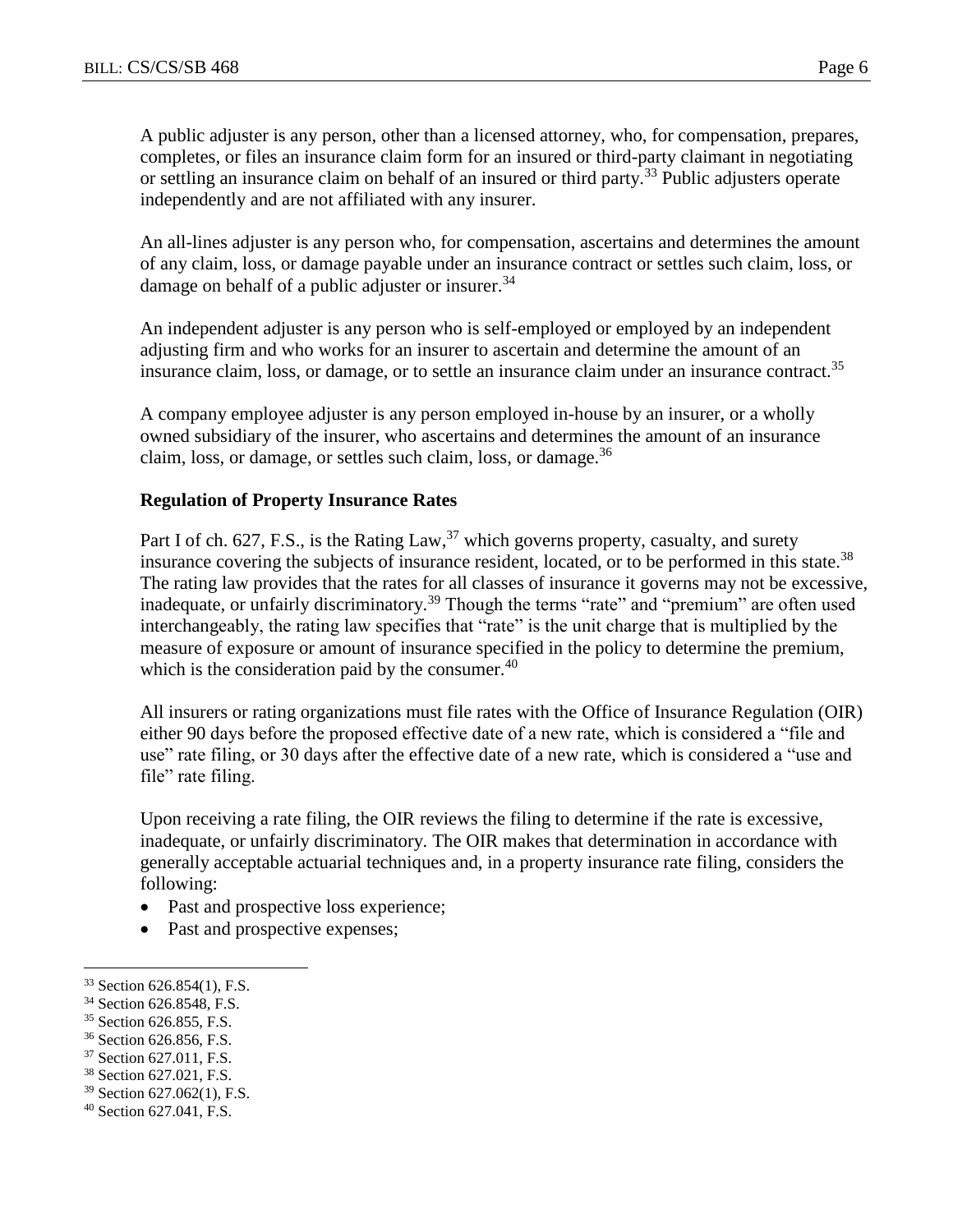A public adjuster is any person, other than a licensed attorney, who, for compensation, prepares, completes, or files an insurance claim form for an insured or third-party claimant in negotiating or settling an insurance claim on behalf of an insured or third party.<sup>33</sup> Public adjusters operate independently and are not affiliated with any insurer.

An all-lines adjuster is any person who, for compensation, ascertains and determines the amount of any claim, loss, or damage payable under an insurance contract or settles such claim, loss, or damage on behalf of a public adjuster or insurer.<sup>34</sup>

An independent adjuster is any person who is self-employed or employed by an independent adjusting firm and who works for an insurer to ascertain and determine the amount of an insurance claim, loss, or damage, or to settle an insurance claim under an insurance contract.<sup>35</sup>

A company employee adjuster is any person employed in-house by an insurer, or a wholly owned subsidiary of the insurer, who ascertains and determines the amount of an insurance claim, loss, or damage, or settles such claim, loss, or damage.  $36$ 

## **Regulation of Property Insurance Rates**

Part I of ch. 627, F.S., is the Rating Law,<sup>37</sup> which governs property, casualty, and surety insurance covering the subjects of insurance resident, located, or to be performed in this state.<sup>38</sup> The rating law provides that the rates for all classes of insurance it governs may not be excessive, inadequate, or unfairly discriminatory.<sup>39</sup> Though the terms "rate" and "premium" are often used interchangeably, the rating law specifies that "rate" is the unit charge that is multiplied by the measure of exposure or amount of insurance specified in the policy to determine the premium, which is the consideration paid by the consumer. $40$ 

All insurers or rating organizations must file rates with the Office of Insurance Regulation (OIR) either 90 days before the proposed effective date of a new rate, which is considered a "file and use" rate filing, or 30 days after the effective date of a new rate, which is considered a "use and file" rate filing.

Upon receiving a rate filing, the OIR reviews the filing to determine if the rate is excessive, inadequate, or unfairly discriminatory. The OIR makes that determination in accordance with generally acceptable actuarial techniques and, in a property insurance rate filing, considers the following:

- Past and prospective loss experience;
- Past and prospective expenses;

 $\overline{a}$ 

<sup>36</sup> Section 626.856, F.S.

<sup>33</sup> Section 626.854(1), F.S.

<sup>34</sup> Section 626.8548, F.S.

<sup>&</sup>lt;sup>35</sup> Section 626.855, F.S.

<sup>&</sup>lt;sup>37</sup> Section 627.011, F.S.

<sup>38</sup> Section 627.021, F.S.

<sup>39</sup> Section 627.062(1), F.S.

<sup>40</sup> Section 627.041, F.S.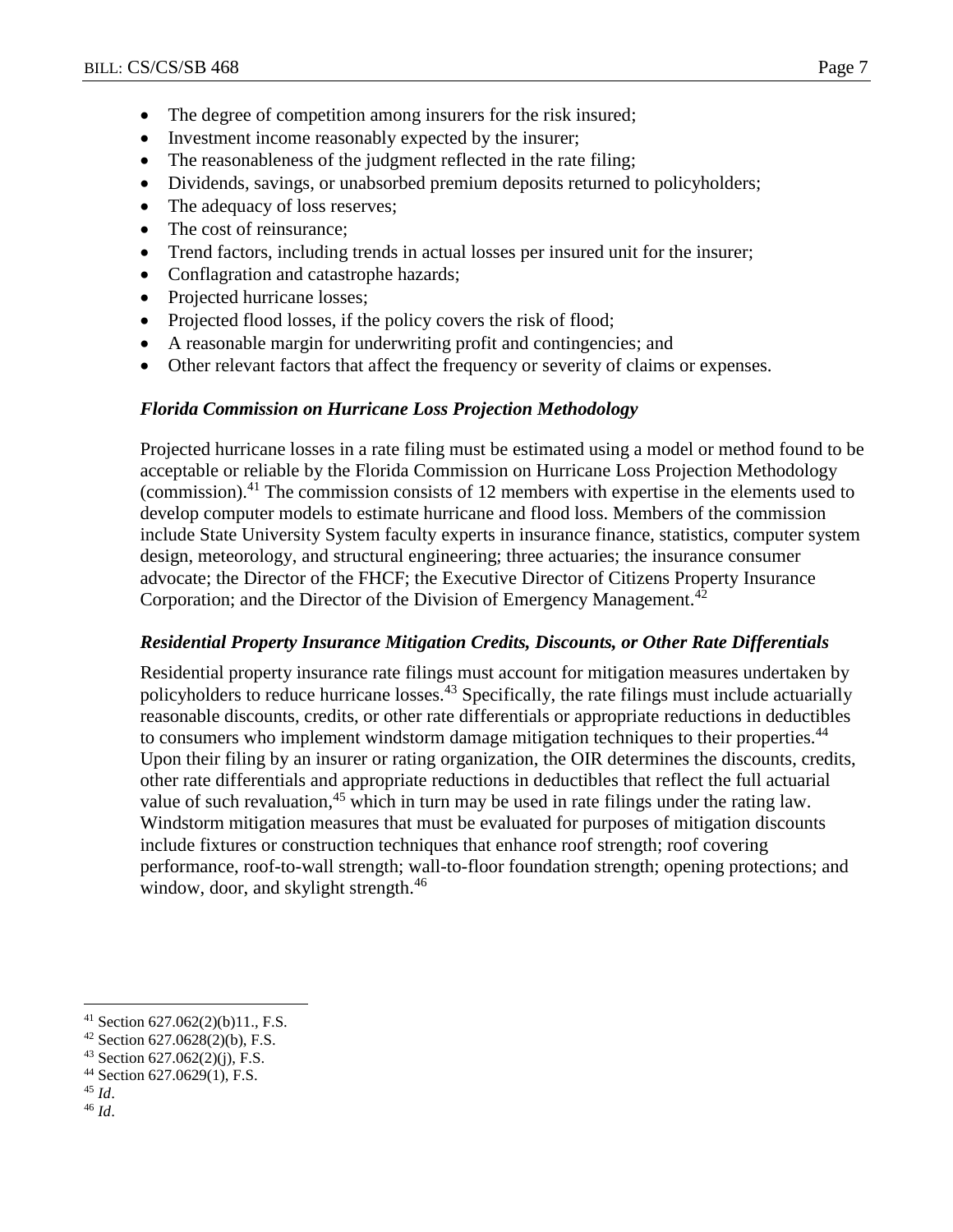- The degree of competition among insurers for the risk insured;
- Investment income reasonably expected by the insurer;
- The reasonableness of the judgment reflected in the rate filing;
- Dividends, savings, or unabsorbed premium deposits returned to policyholders;
- The adequacy of loss reserves;
- The cost of reinsurance;
- Trend factors, including trends in actual losses per insured unit for the insurer;
- Conflagration and catastrophe hazards;
- Projected hurricane losses;
- Projected flood losses, if the policy covers the risk of flood;
- A reasonable margin for underwriting profit and contingencies; and
- Other relevant factors that affect the frequency or severity of claims or expenses.

# *Florida Commission on Hurricane Loss Projection Methodology*

Projected hurricane losses in a rate filing must be estimated using a model or method found to be acceptable or reliable by the Florida Commission on Hurricane Loss Projection Methodology (commission). <sup>41</sup> The commission consists of 12 members with expertise in the elements used to develop computer models to estimate hurricane and flood loss. Members of the commission include State University System faculty experts in insurance finance, statistics, computer system design, meteorology, and structural engineering; three actuaries; the insurance consumer advocate; the Director of the FHCF; the Executive Director of Citizens Property Insurance Corporation; and the Director of the Division of Emergency Management.<sup>42</sup>

# *Residential Property Insurance Mitigation Credits, Discounts, or Other Rate Differentials*

Residential property insurance rate filings must account for mitigation measures undertaken by policyholders to reduce hurricane losses.<sup>43</sup> Specifically, the rate filings must include actuarially reasonable discounts, credits, or other rate differentials or appropriate reductions in deductibles to consumers who implement windstorm damage mitigation techniques to their properties.<sup>44</sup> Upon their filing by an insurer or rating organization, the OIR determines the discounts, credits, other rate differentials and appropriate reductions in deductibles that reflect the full actuarial value of such revaluation,<sup>45</sup> which in turn may be used in rate filings under the rating law. Windstorm mitigation measures that must be evaluated for purposes of mitigation discounts include fixtures or construction techniques that enhance roof strength; roof covering performance, roof-to-wall strength; wall-to-floor foundation strength; opening protections; and window, door, and skylight strength.<sup>46</sup>

<sup>45</sup> *Id*.

 $41$  Section 627.062(2)(b)11., F.S.

<sup>42</sup> Section 627.0628(2)(b), F.S.

<sup>43</sup> Section 627.062(2)(j), F.S.

<sup>44</sup> Section 627.0629(1), F.S.

<sup>46</sup> *Id*.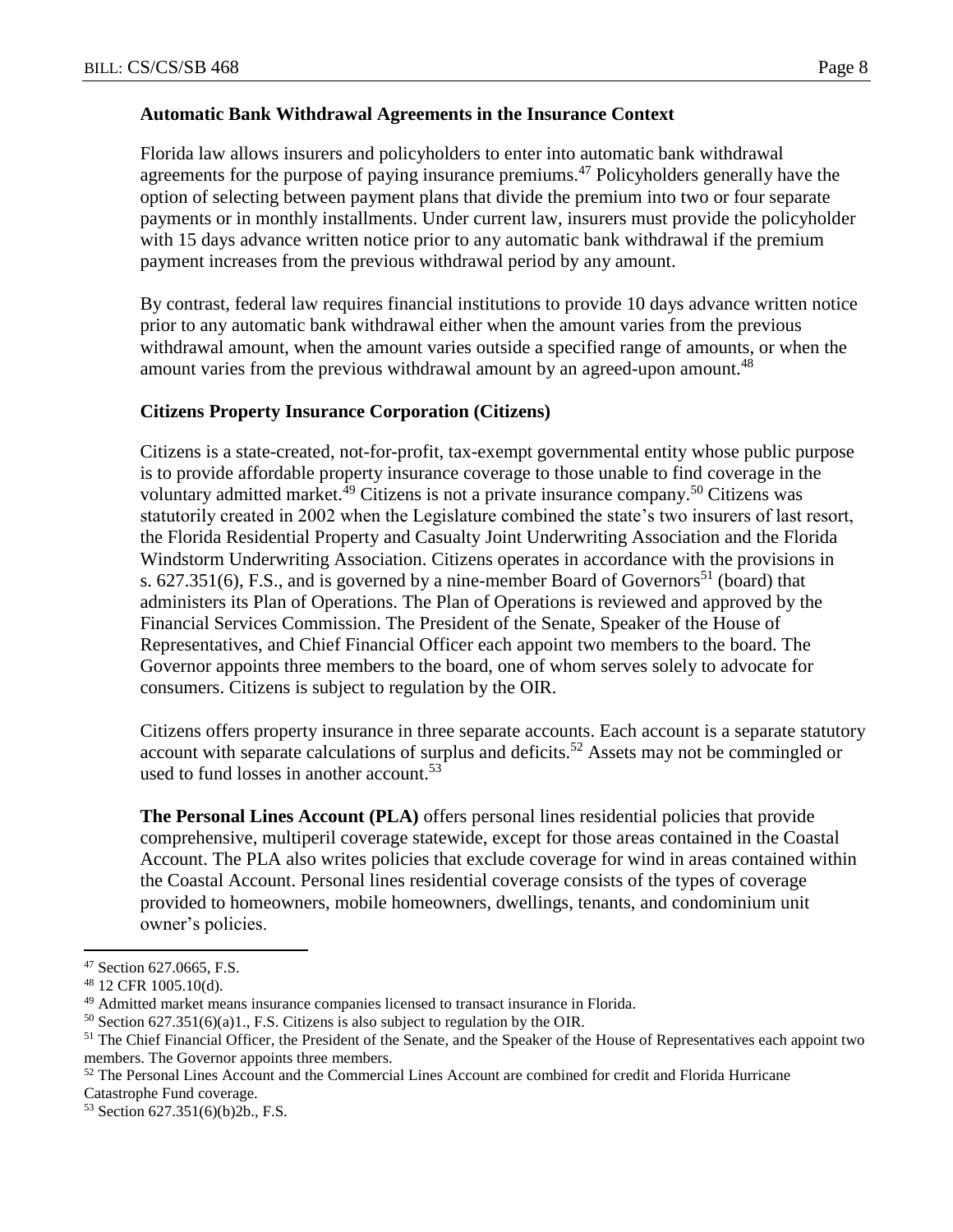Florida law allows insurers and policyholders to enter into automatic bank withdrawal agreements for the purpose of paying insurance premiums.<sup>47</sup> Policyholders generally have the option of selecting between payment plans that divide the premium into two or four separate payments or in monthly installments. Under current law, insurers must provide the policyholder with 15 days advance written notice prior to any automatic bank withdrawal if the premium payment increases from the previous withdrawal period by any amount.

By contrast, federal law requires financial institutions to provide 10 days advance written notice prior to any automatic bank withdrawal either when the amount varies from the previous withdrawal amount, when the amount varies outside a specified range of amounts, or when the amount varies from the previous withdrawal amount by an agreed-upon amount.<sup>48</sup>

## **Citizens Property Insurance Corporation (Citizens)**

Citizens is a state-created, not-for-profit, tax-exempt governmental entity whose public purpose is to provide affordable property insurance coverage to those unable to find coverage in the voluntary admitted market.<sup>49</sup> Citizens is not a private insurance company.<sup>50</sup> Citizens was statutorily created in 2002 when the Legislature combined the state's two insurers of last resort, the Florida Residential Property and Casualty Joint Underwriting Association and the Florida Windstorm Underwriting Association. Citizens operates in accordance with the provisions in s.  $627.351(6)$ , F.S., and is governed by a nine-member Board of Governors<sup>51</sup> (board) that administers its Plan of Operations. The Plan of Operations is reviewed and approved by the Financial Services Commission. The President of the Senate, Speaker of the House of Representatives, and Chief Financial Officer each appoint two members to the board. The Governor appoints three members to the board, one of whom serves solely to advocate for consumers. Citizens is subject to regulation by the OIR.

Citizens offers property insurance in three separate accounts. Each account is a separate statutory account with separate calculations of surplus and deficits.<sup>52</sup> Assets may not be commingled or used to fund losses in another account.<sup>53</sup>

**The Personal Lines Account (PLA)** offers personal lines residential policies that provide comprehensive, multiperil coverage statewide, except for those areas contained in the Coastal Account. The PLA also writes policies that exclude coverage for wind in areas contained within the Coastal Account. Personal lines residential coverage consists of the types of coverage provided to homeowners, mobile homeowners, dwellings, tenants, and condominium unit owner's policies.

 $\overline{a}$ 

<sup>53</sup> Section 627.351(6)(b)2b., F.S.

<sup>47</sup> Section 627.0665, F.S.

<sup>48</sup> 12 CFR 1005.10(d).

<sup>49</sup> Admitted market means insurance companies licensed to transact insurance in Florida.

 $50$  Section 627.351(6)(a)1., F.S. Citizens is also subject to regulation by the OIR.

<sup>&</sup>lt;sup>51</sup> The Chief Financial Officer, the President of the Senate, and the Speaker of the House of Representatives each appoint two members. The Governor appoints three members.

<sup>&</sup>lt;sup>52</sup> The Personal Lines Account and the Commercial Lines Account are combined for credit and Florida Hurricane Catastrophe Fund coverage.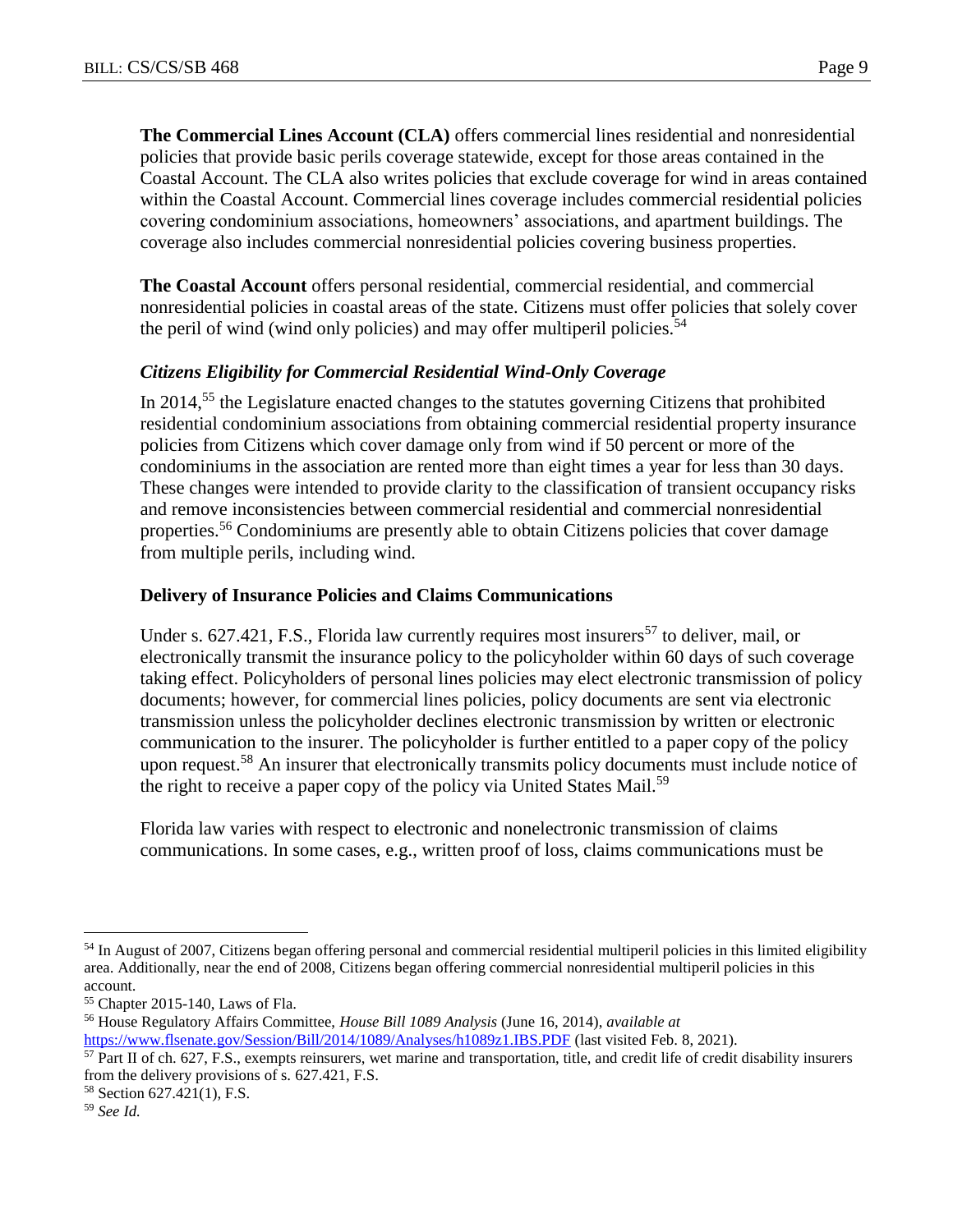**The Commercial Lines Account (CLA)** offers commercial lines residential and nonresidential policies that provide basic perils coverage statewide, except for those areas contained in the Coastal Account. The CLA also writes policies that exclude coverage for wind in areas contained within the Coastal Account. Commercial lines coverage includes commercial residential policies covering condominium associations, homeowners' associations, and apartment buildings. The coverage also includes commercial nonresidential policies covering business properties.

**The Coastal Account** offers personal residential, commercial residential, and commercial nonresidential policies in coastal areas of the state. Citizens must offer policies that solely cover the peril of wind (wind only policies) and may offer multiperil policies.<sup>54</sup>

# *Citizens Eligibility for Commercial Residential Wind-Only Coverage*

In 2014,<sup>55</sup> the Legislature enacted changes to the statutes governing Citizens that prohibited residential condominium associations from obtaining commercial residential property insurance policies from Citizens which cover damage only from wind if 50 percent or more of the condominiums in the association are rented more than eight times a year for less than 30 days. These changes were intended to provide clarity to the classification of transient occupancy risks and remove inconsistencies between commercial residential and commercial nonresidential properties.<sup>56</sup> Condominiums are presently able to obtain Citizens policies that cover damage from multiple perils, including wind.

# **Delivery of Insurance Policies and Claims Communications**

Under s.  $627.421$ , F.S., Florida law currently requires most insurers<sup>57</sup> to deliver, mail, or electronically transmit the insurance policy to the policyholder within 60 days of such coverage taking effect. Policyholders of personal lines policies may elect electronic transmission of policy documents; however, for commercial lines policies, policy documents are sent via electronic transmission unless the policyholder declines electronic transmission by written or electronic communication to the insurer. The policyholder is further entitled to a paper copy of the policy upon request.<sup>58</sup> An insurer that electronically transmits policy documents must include notice of the right to receive a paper copy of the policy via United States Mail.<sup>59</sup>

Florida law varies with respect to electronic and nonelectronic transmission of claims communications. In some cases, e.g., written proof of loss, claims communications must be

<sup>&</sup>lt;sup>54</sup> In August of 2007, Citizens began offering personal and commercial residential multiperil policies in this limited eligibility area. Additionally, near the end of 2008, Citizens began offering commercial nonresidential multiperil policies in this account.

<sup>55</sup> Chapter 2015-140, Laws of Fla.

<sup>56</sup> House Regulatory Affairs Committee, *House Bill 1089 Analysis* (June 16, 2014), *available at*  <https://www.flsenate.gov/Session/Bill/2014/1089/Analyses/h1089z1.IBS.PDF> (last visited Feb. 8, 2021).

 $57$  Part II of ch. 627, F.S., exempts reinsurers, wet marine and transportation, title, and credit life of credit disability insurers from the delivery provisions of s. 627.421, F.S.

<sup>58</sup> Section 627.421(1), F.S.

<sup>59</sup> *See Id.*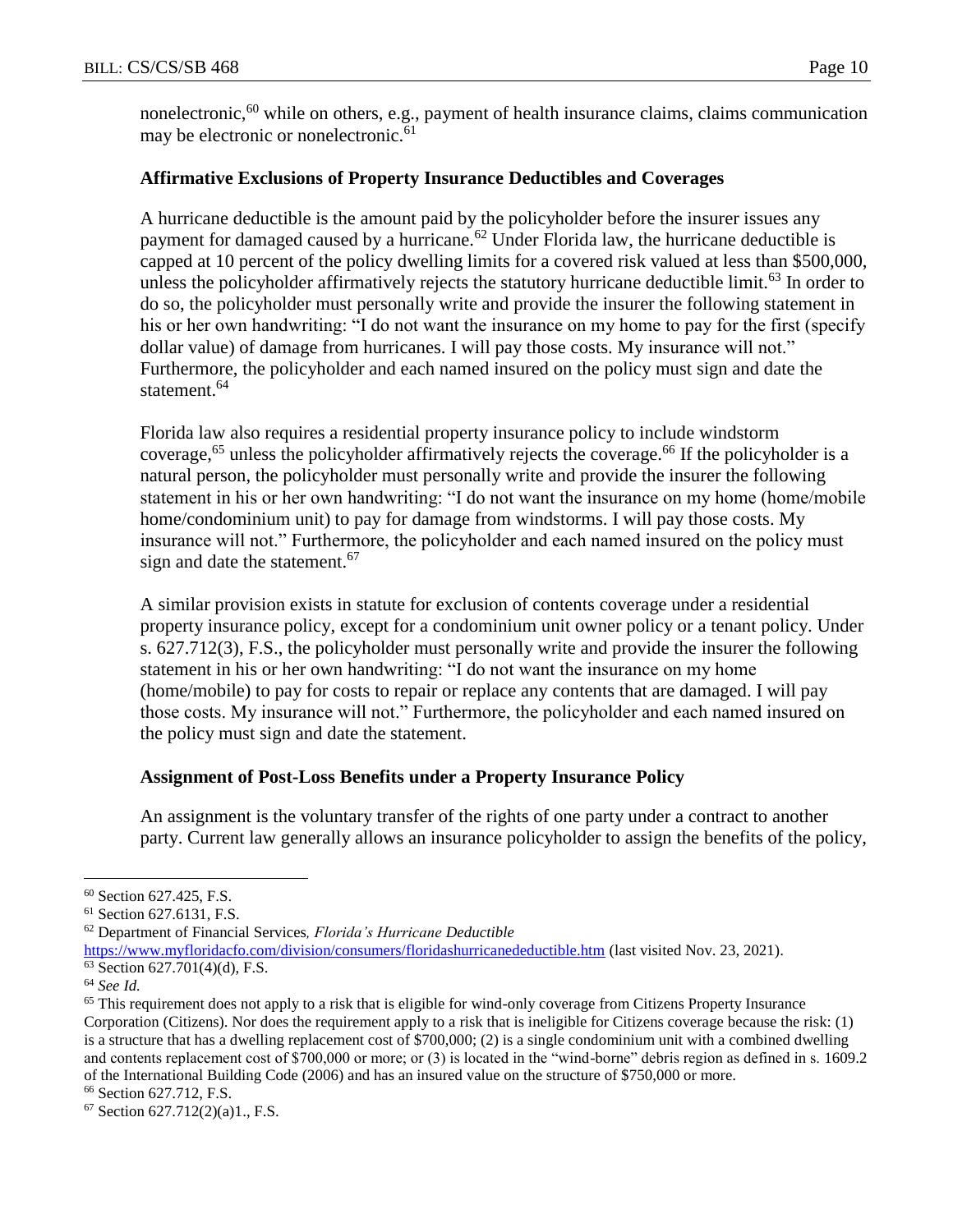nonelectronic,<sup>60</sup> while on others, e.g., payment of health insurance claims, claims communication may be electronic or nonelectronic.<sup>61</sup>

# **Affirmative Exclusions of Property Insurance Deductibles and Coverages**

A hurricane deductible is the amount paid by the policyholder before the insurer issues any payment for damaged caused by a hurricane.<sup>62</sup> Under Florida law, the hurricane deductible is capped at 10 percent of the policy dwelling limits for a covered risk valued at less than \$500,000, unless the policyholder affirmatively rejects the statutory hurricane deductible limit.<sup>63</sup> In order to do so, the policyholder must personally write and provide the insurer the following statement in his or her own handwriting: "I do not want the insurance on my home to pay for the first (specify dollar value) of damage from hurricanes. I will pay those costs. My insurance will not." Furthermore, the policyholder and each named insured on the policy must sign and date the statement.<sup>64</sup>

Florida law also requires a residential property insurance policy to include windstorm coverage,<sup>65</sup> unless the policyholder affirmatively rejects the coverage.<sup>66</sup> If the policyholder is a natural person, the policyholder must personally write and provide the insurer the following statement in his or her own handwriting: "I do not want the insurance on my home (home/mobile home/condominium unit) to pay for damage from windstorms. I will pay those costs. My insurance will not." Furthermore, the policyholder and each named insured on the policy must sign and date the statement. $67$ 

A similar provision exists in statute for exclusion of contents coverage under a residential property insurance policy, except for a condominium unit owner policy or a tenant policy. Under s. 627.712(3), F.S., the policyholder must personally write and provide the insurer the following statement in his or her own handwriting: "I do not want the insurance on my home (home/mobile) to pay for costs to repair or replace any contents that are damaged. I will pay those costs. My insurance will not." Furthermore, the policyholder and each named insured on the policy must sign and date the statement.

#### **Assignment of Post-Loss Benefits under a Property Insurance Policy**

An assignment is the voluntary transfer of the rights of one party under a contract to another party. Current law generally allows an insurance policyholder to assign the benefits of the policy,

<sup>60</sup> Section 627.425, F.S.

<sup>61</sup> Section 627.6131, F.S.

<sup>62</sup> Department of Financial Services*, Florida's Hurricane Deductible*

<https://www.myfloridacfo.com/division/consumers/floridashurricanedeductible.htm> (last visited Nov. 23, 2021). <sup>63</sup> Section 627.701(4)(d), F.S.

<sup>64</sup> *See Id.*

<sup>&</sup>lt;sup>65</sup> This requirement does not apply to a risk that is eligible for wind-only coverage from Citizens Property Insurance Corporation (Citizens). Nor does the requirement apply to a risk that is ineligible for Citizens coverage because the risk: (1) is a structure that has a dwelling replacement cost of \$700,000; (2) is a single condominium unit with a combined dwelling and contents replacement cost of \$700,000 or more; or (3) is located in the "wind-borne" debris region as defined in s. 1609.2 of the International Building Code (2006) and has an insured value on the structure of \$750,000 or more.

<sup>66</sup> Section 627.712, F.S.

 $67$  Section  $627.712(2)(a)1$ ., F.S.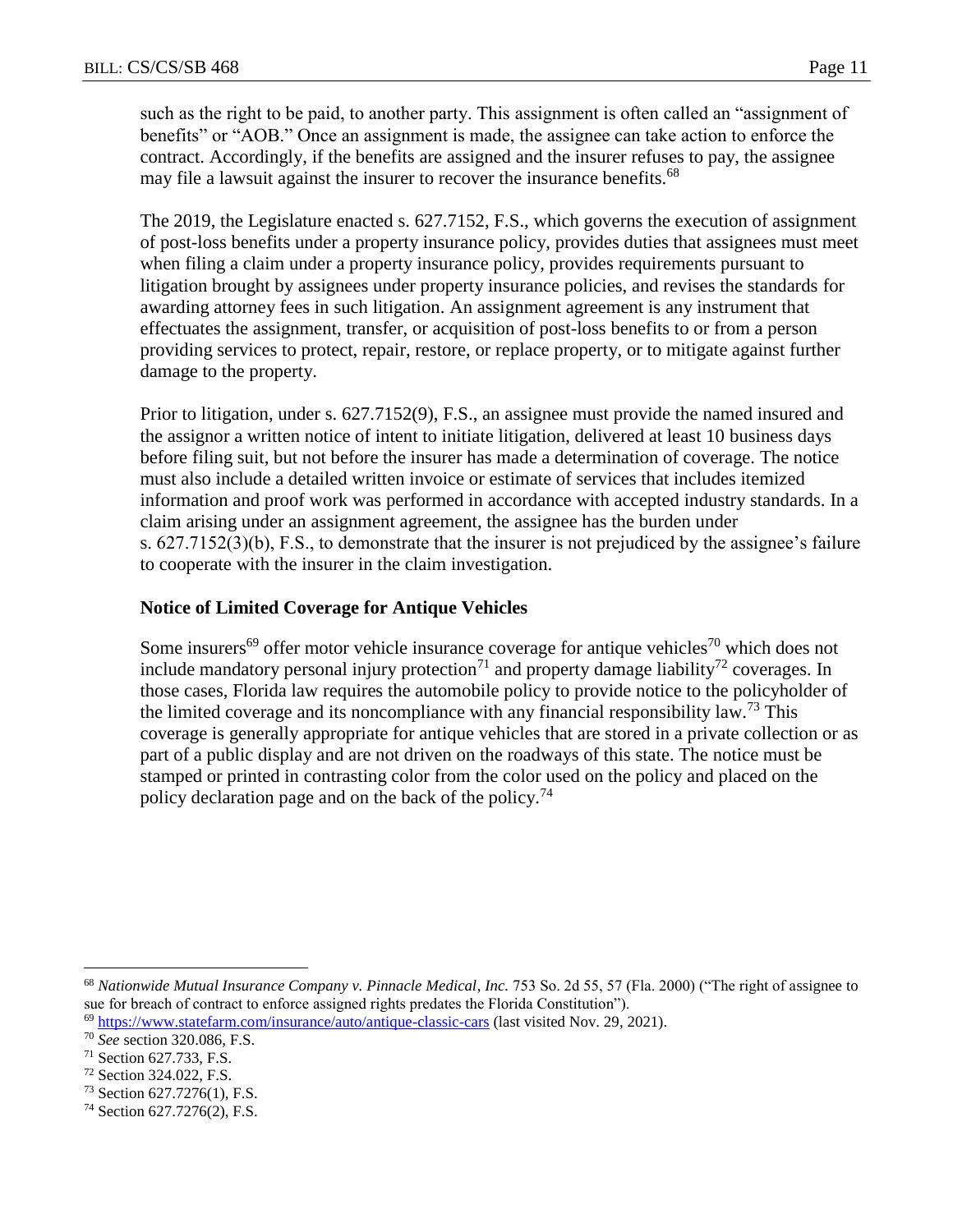such as the right to be paid, to another party. This assignment is often called an "assignment of benefits" or "AOB." Once an assignment is made, the assignee can take action to enforce the contract. Accordingly, if the benefits are assigned and the insurer refuses to pay, the assignee may file a lawsuit against the insurer to recover the insurance benefits.<sup>68</sup>

The 2019, the Legislature enacted s. 627.7152, F.S., which governs the execution of assignment of post-loss benefits under a property insurance policy, provides duties that assignees must meet when filing a claim under a property insurance policy, provides requirements pursuant to litigation brought by assignees under property insurance policies, and revises the standards for awarding attorney fees in such litigation. An assignment agreement is any instrument that effectuates the assignment, transfer, or acquisition of post-loss benefits to or from a person providing services to protect, repair, restore, or replace property, or to mitigate against further damage to the property.

Prior to litigation, under s. 627.7152(9), F.S., an assignee must provide the named insured and the assignor a written notice of intent to initiate litigation, delivered at least 10 business days before filing suit, but not before the insurer has made a determination of coverage. The notice must also include a detailed written invoice or estimate of services that includes itemized information and proof work was performed in accordance with accepted industry standards. In a claim arising under an assignment agreement, the assignee has the burden under s. 627.7152(3)(b), F.S., to demonstrate that the insurer is not prejudiced by the assignee's failure to cooperate with the insurer in the claim investigation.

# **Notice of Limited Coverage for Antique Vehicles**

Some insurers<sup>69</sup> offer motor vehicle insurance coverage for antique vehicles<sup>70</sup> which does not include mandatory personal injury protection<sup>71</sup> and property damage liability<sup>72</sup> coverages. In those cases, Florida law requires the automobile policy to provide notice to the policyholder of the limited coverage and its noncompliance with any financial responsibility law.<sup>73</sup> This coverage is generally appropriate for antique vehicles that are stored in a private collection or as part of a public display and are not driven on the roadways of this state. The notice must be stamped or printed in contrasting color from the color used on the policy and placed on the policy declaration page and on the back of the policy.<sup>74</sup>

<sup>68</sup> *Nationwide Mutual Insurance Company v. Pinnacle Medical*, *Inc.* 753 So. 2d 55, 57 (Fla. 2000) ("The right of assignee to sue for breach of contract to enforce assigned rights predates the Florida Constitution").

<sup>69</sup> <https://www.statefarm.com/insurance/auto/antique-classic-cars> (last visited Nov. 29, 2021).

<sup>70</sup> *See* section 320.086, F.S.

<sup>71</sup> Section 627.733, F.S.

<sup>72</sup> Section 324.022, F.S.

<sup>73</sup> Section 627.7276(1), F.S.

<sup>74</sup> Section 627.7276(2), F.S.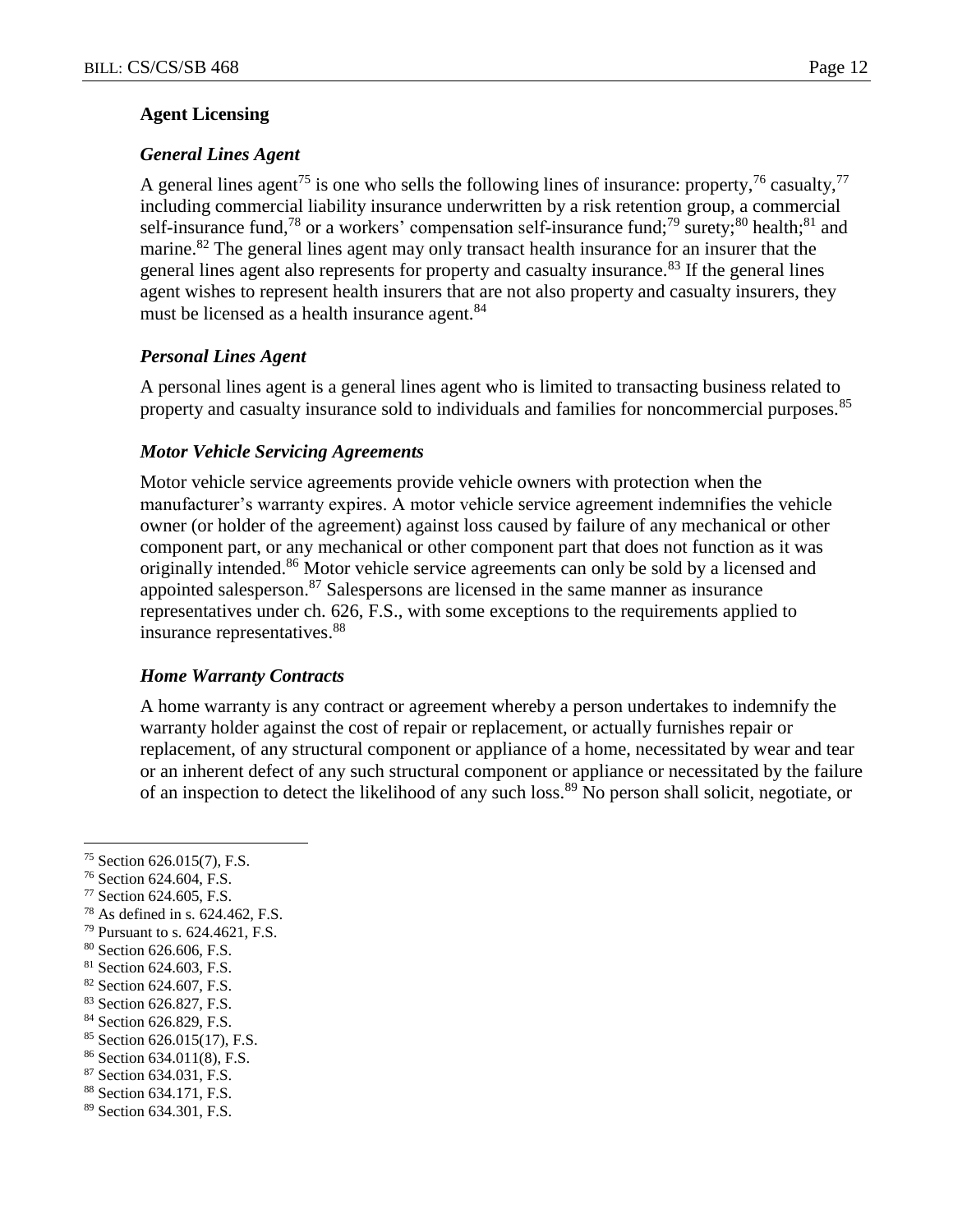#### **Agent Licensing**

# *General Lines Agent*

A general lines agent<sup>75</sup> is one who sells the following lines of insurance: property,  $^{76}$  casualty,  $^{77}$ including commercial liability insurance underwritten by a risk retention group, a commercial self-insurance fund,<sup>78</sup> or a workers' compensation self-insurance fund;<sup>79</sup> surety;<sup>80</sup> health;<sup>81</sup> and marine.<sup>82</sup> The general lines agent may only transact health insurance for an insurer that the general lines agent also represents for property and casualty insurance.<sup>83</sup> If the general lines agent wishes to represent health insurers that are not also property and casualty insurers, they must be licensed as a health insurance agent.<sup>84</sup>

# *Personal Lines Agent*

A personal lines agent is a general lines agent who is limited to transacting business related to property and casualty insurance sold to individuals and families for noncommercial purposes.<sup>85</sup>

## *Motor Vehicle Servicing Agreements*

Motor vehicle service agreements provide vehicle owners with protection when the manufacturer's warranty expires. A motor vehicle service agreement indemnifies the vehicle owner (or holder of the agreement) against loss caused by failure of any mechanical or other component part, or any mechanical or other component part that does not function as it was originally intended.<sup>86</sup> Motor vehicle service agreements can only be sold by a licensed and appointed salesperson.<sup>87</sup> Salespersons are licensed in the same manner as insurance representatives under ch. 626, F.S., with some exceptions to the requirements applied to insurance representatives.<sup>88</sup>

#### *Home Warranty Contracts*

A home warranty is any contract or agreement whereby a person undertakes to indemnify the warranty holder against the cost of repair or replacement, or actually furnishes repair or replacement, of any structural component or appliance of a home, necessitated by wear and tear or an inherent defect of any such structural component or appliance or necessitated by the failure of an inspection to detect the likelihood of any such loss.<sup>89</sup> No person shall solicit, negotiate, or

- <sup>77</sup> Section 624.605, F.S.
- <sup>78</sup> As defined in s. 624.462, F.S.
- <sup>79</sup> Pursuant to s. 624.4621, F.S.
- <sup>80</sup> Section 626.606, F.S.
- <sup>81</sup> Section 624.603, F.S.
- <sup>82</sup> Section 624.607, F.S.
- 83 Section 626.827, F.S.
- 84 Section 626.829, F.S.
- <sup>85</sup> Section 626.015(17), F.S.
- <sup>86</sup> Section 634.011(8), F.S.
- <sup>87</sup> Section 634.031, F.S.
- <sup>88</sup> Section 634.171, F.S.
- <sup>89</sup> Section 634.301, F.S.

<sup>75</sup> Section 626.015(7), F.S.

<sup>76</sup> Section 624.604, F.S.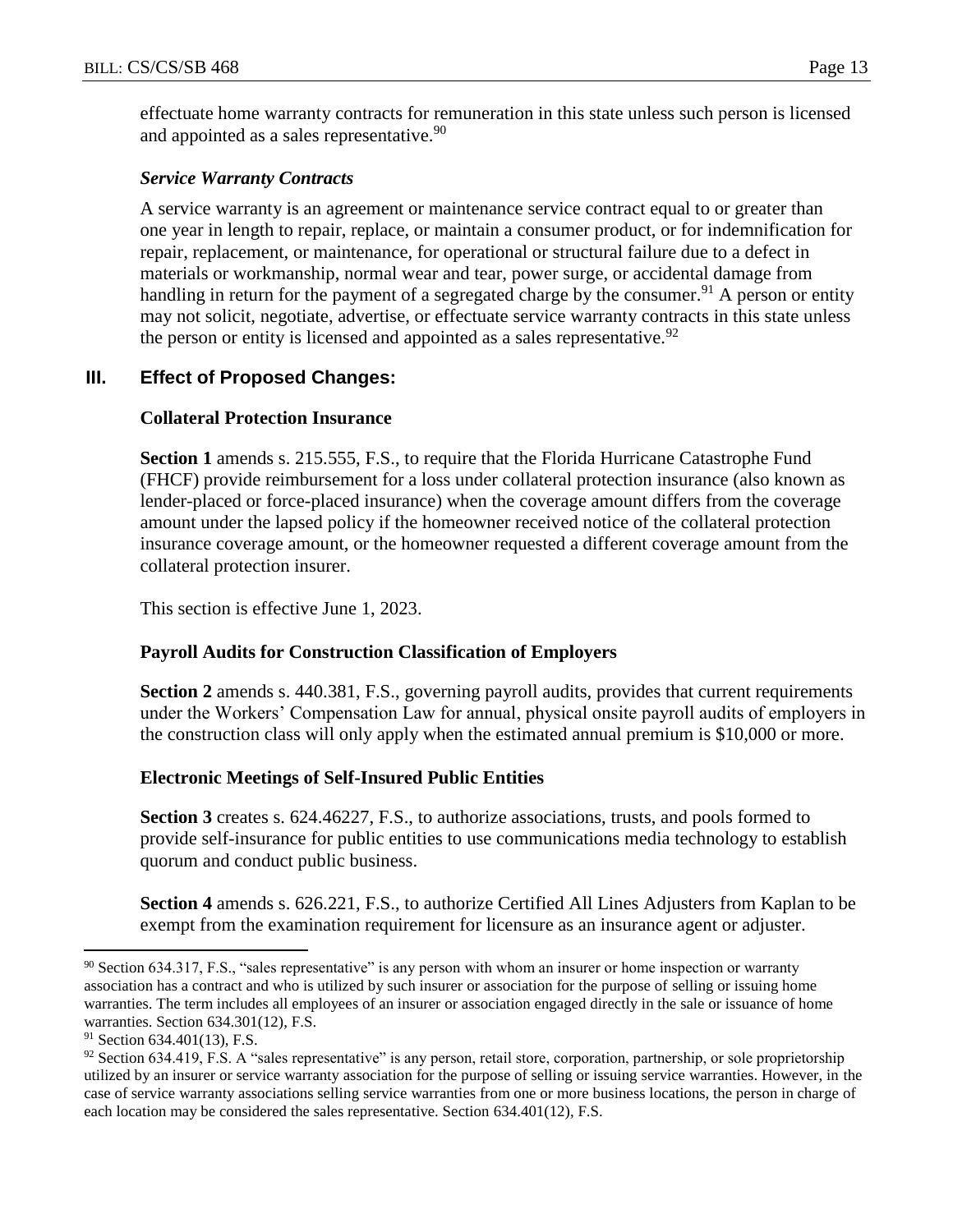effectuate home warranty contracts for remuneration in this state unless such person is licensed and appointed as a sales representative.<sup>90</sup>

#### *Service Warranty Contracts*

A service warranty is an agreement or maintenance service contract equal to or greater than one year in length to repair, replace, or maintain a consumer product, or for indemnification for repair, replacement, or maintenance, for operational or structural failure due to a defect in materials or workmanship, normal wear and tear, power surge, or accidental damage from handling in return for the payment of a segregated charge by the consumer.<sup>91</sup> A person or entity may not solicit, negotiate, advertise, or effectuate service warranty contracts in this state unless the person or entity is licensed and appointed as a sales representative.<sup>92</sup>

# **III. Effect of Proposed Changes:**

## **Collateral Protection Insurance**

**Section 1** amends s. 215.555, F.S., to require that the Florida Hurricane Catastrophe Fund (FHCF) provide reimbursement for a loss under collateral protection insurance (also known as lender-placed or force-placed insurance) when the coverage amount differs from the coverage amount under the lapsed policy if the homeowner received notice of the collateral protection insurance coverage amount, or the homeowner requested a different coverage amount from the collateral protection insurer.

This section is effective June 1, 2023.

# **Payroll Audits for Construction Classification of Employers**

**Section 2** amends s. 440.381, F.S., governing payroll audits, provides that current requirements under the Workers' Compensation Law for annual, physical onsite payroll audits of employers in the construction class will only apply when the estimated annual premium is \$10,000 or more.

# **Electronic Meetings of Self-Insured Public Entities**

**Section 3** creates s. 624.46227, F.S., to authorize associations, trusts, and pools formed to provide self-insurance for public entities to use communications media technology to establish quorum and conduct public business.

**Section 4** amends s. 626.221, F.S., to authorize Certified All Lines Adjusters from Kaplan to be exempt from the examination requirement for licensure as an insurance agent or adjuster.

<sup>90</sup> Section 634.317, F.S., "sales representative" is any person with whom an insurer or home inspection or warranty association has a contract and who is utilized by such insurer or association for the purpose of selling or issuing home warranties. The term includes all employees of an insurer or association engaged directly in the sale or issuance of home warranties. Section 634.301(12), F.S.

 $91$  Section 634.401(13), F.S.

<sup>92</sup> Section 634.419, F.S. A "sales representative" is any person, retail store, corporation, partnership, or sole proprietorship utilized by an insurer or service warranty association for the purpose of selling or issuing service warranties. However, in the case of service warranty associations selling service warranties from one or more business locations, the person in charge of each location may be considered the sales representative. Section 634.401(12), F.S.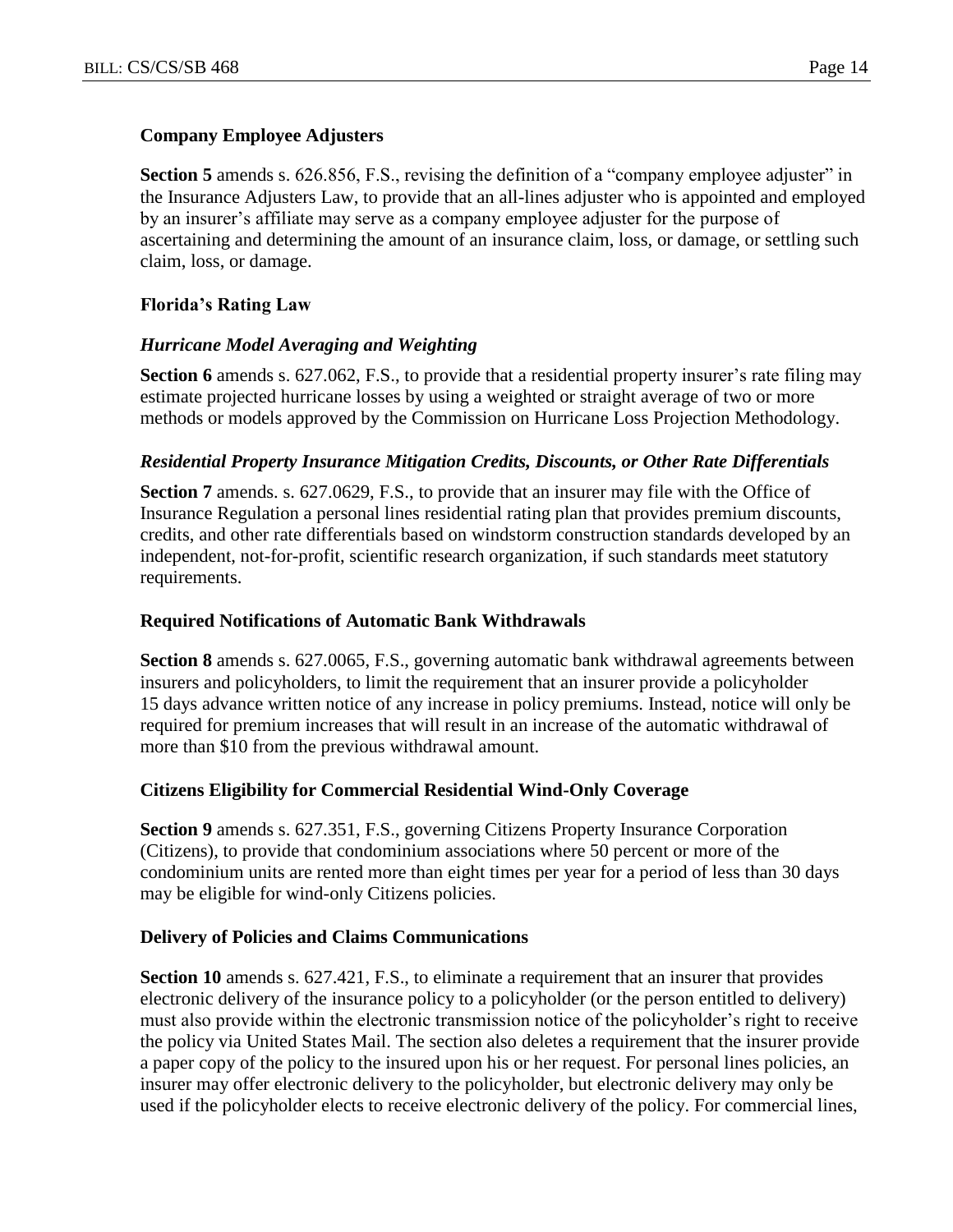## **Company Employee Adjusters**

**Section 5** amends s. 626.856, F.S., revising the definition of a "company employee adjuster" in the Insurance Adjusters Law, to provide that an all-lines adjuster who is appointed and employed by an insurer's affiliate may serve as a company employee adjuster for the purpose of ascertaining and determining the amount of an insurance claim, loss, or damage, or settling such claim, loss, or damage.

# **Florida's Rating Law**

## *Hurricane Model Averaging and Weighting*

**Section 6** amends s. 627.062, F.S., to provide that a residential property insurer's rate filing may estimate projected hurricane losses by using a weighted or straight average of two or more methods or models approved by the Commission on Hurricane Loss Projection Methodology.

## *Residential Property Insurance Mitigation Credits, Discounts, or Other Rate Differentials*

**Section 7** amends. s. 627.0629, F.S., to provide that an insurer may file with the Office of Insurance Regulation a personal lines residential rating plan that provides premium discounts, credits, and other rate differentials based on windstorm construction standards developed by an independent, not-for-profit, scientific research organization, if such standards meet statutory requirements.

#### **Required Notifications of Automatic Bank Withdrawals**

**Section 8** amends s. 627.0065, F.S., governing automatic bank withdrawal agreements between insurers and policyholders, to limit the requirement that an insurer provide a policyholder 15 days advance written notice of any increase in policy premiums. Instead, notice will only be required for premium increases that will result in an increase of the automatic withdrawal of more than \$10 from the previous withdrawal amount.

#### **Citizens Eligibility for Commercial Residential Wind-Only Coverage**

**Section 9** amends s. 627.351, F.S., governing Citizens Property Insurance Corporation (Citizens), to provide that condominium associations where 50 percent or more of the condominium units are rented more than eight times per year for a period of less than 30 days may be eligible for wind-only Citizens policies.

#### **Delivery of Policies and Claims Communications**

**Section 10** amends s. 627.421, F.S., to eliminate a requirement that an insurer that provides electronic delivery of the insurance policy to a policyholder (or the person entitled to delivery) must also provide within the electronic transmission notice of the policyholder's right to receive the policy via United States Mail. The section also deletes a requirement that the insurer provide a paper copy of the policy to the insured upon his or her request. For personal lines policies, an insurer may offer electronic delivery to the policyholder, but electronic delivery may only be used if the policyholder elects to receive electronic delivery of the policy. For commercial lines,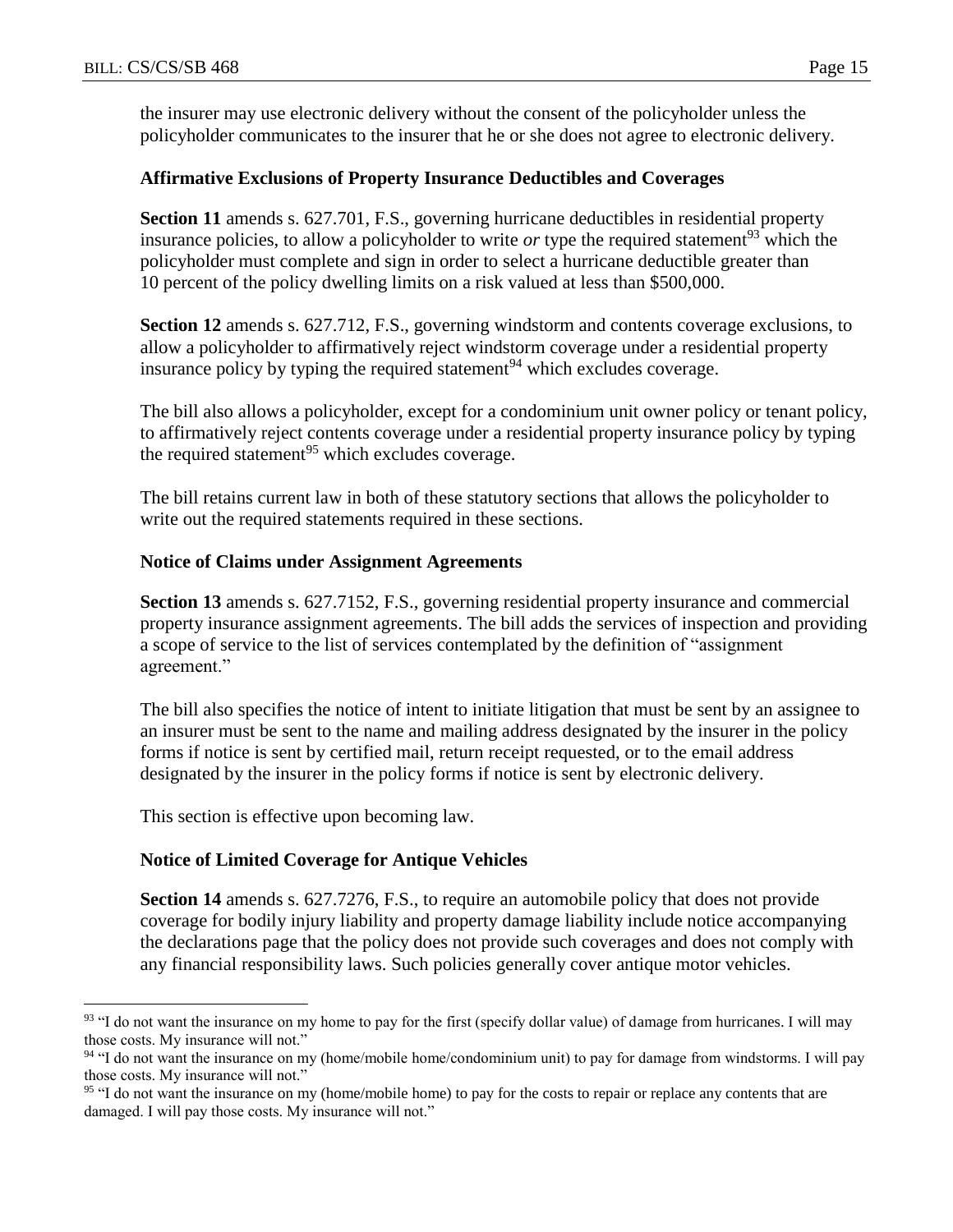the insurer may use electronic delivery without the consent of the policyholder unless the policyholder communicates to the insurer that he or she does not agree to electronic delivery.

#### **Affirmative Exclusions of Property Insurance Deductibles and Coverages**

**Section 11** amends s. 627.701, F.S., governing hurricane deductibles in residential property insurance policies, to allow a policyholder to write *or* type the required statement<sup>93</sup> which the policyholder must complete and sign in order to select a hurricane deductible greater than 10 percent of the policy dwelling limits on a risk valued at less than \$500,000.

**Section 12** amends s. 627.712, F.S., governing windstorm and contents coverage exclusions, to allow a policyholder to affirmatively reject windstorm coverage under a residential property insurance policy by typing the required statement<sup>94</sup> which excludes coverage.

The bill also allows a policyholder, except for a condominium unit owner policy or tenant policy, to affirmatively reject contents coverage under a residential property insurance policy by typing the required statement<sup>95</sup> which excludes coverage.

The bill retains current law in both of these statutory sections that allows the policyholder to write out the required statements required in these sections.

#### **Notice of Claims under Assignment Agreements**

**Section 13** amends s. 627.7152, F.S., governing residential property insurance and commercial property insurance assignment agreements. The bill adds the services of inspection and providing a scope of service to the list of services contemplated by the definition of "assignment agreement."

The bill also specifies the notice of intent to initiate litigation that must be sent by an assignee to an insurer must be sent to the name and mailing address designated by the insurer in the policy forms if notice is sent by certified mail, return receipt requested, or to the email address designated by the insurer in the policy forms if notice is sent by electronic delivery.

This section is effective upon becoming law.

 $\overline{a}$ 

#### **Notice of Limited Coverage for Antique Vehicles**

**Section 14** amends s. 627.7276, F.S., to require an automobile policy that does not provide coverage for bodily injury liability and property damage liability include notice accompanying the declarations page that the policy does not provide such coverages and does not comply with any financial responsibility laws. Such policies generally cover antique motor vehicles.

 $93$  "I do not want the insurance on my home to pay for the first (specify dollar value) of damage from hurricanes. I will may those costs. My insurance will not."

<sup>94</sup> "I do not want the insurance on my (home/mobile home/condominium unit) to pay for damage from windstorms. I will pay those costs. My insurance will not."

<sup>&</sup>lt;sup>95</sup> "I do not want the insurance on my (home/mobile home) to pay for the costs to repair or replace any contents that are damaged. I will pay those costs. My insurance will not."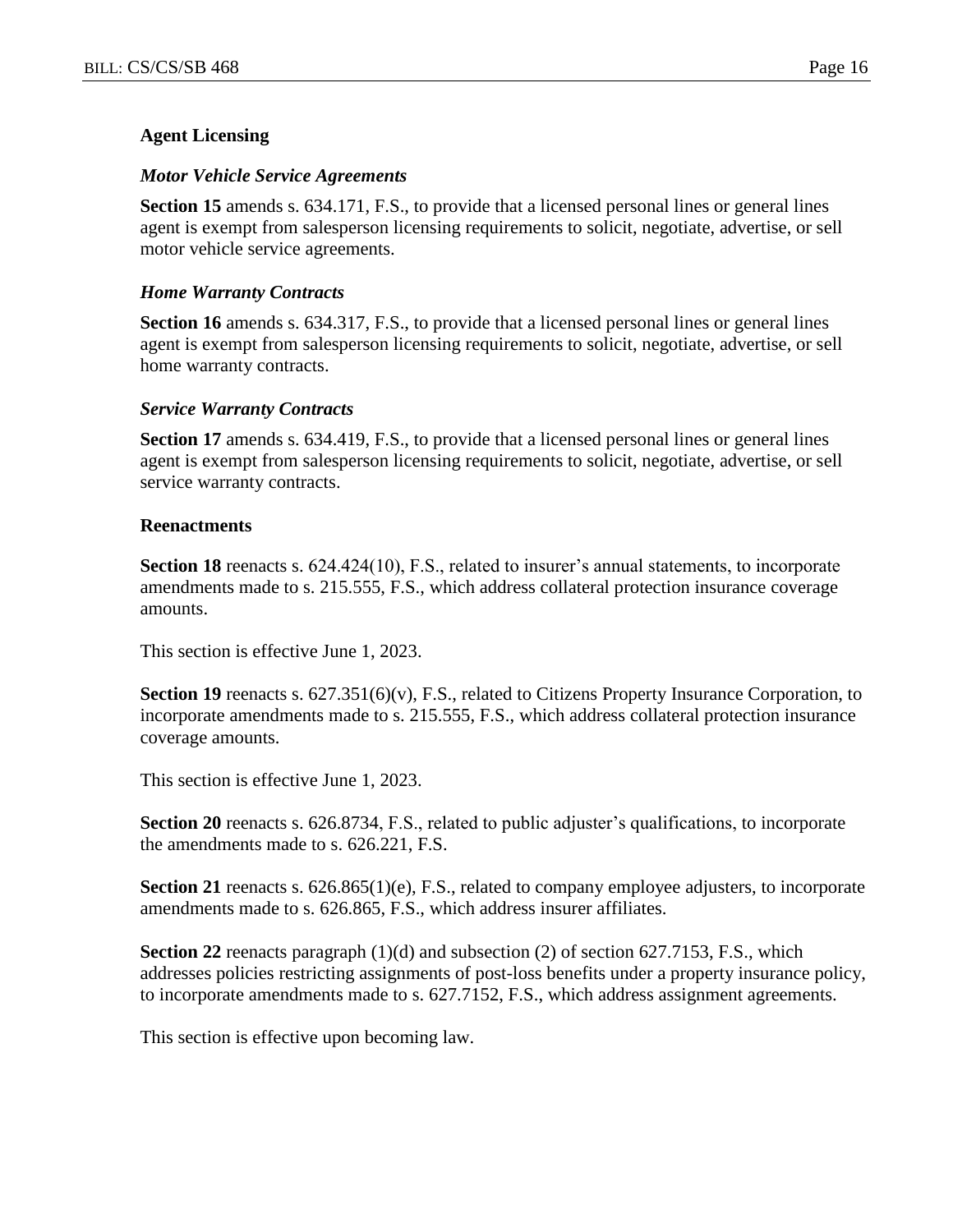## **Agent Licensing**

#### *Motor Vehicle Service Agreements*

**Section 15** amends s. 634.171, F.S., to provide that a licensed personal lines or general lines agent is exempt from salesperson licensing requirements to solicit, negotiate, advertise, or sell motor vehicle service agreements.

#### *Home Warranty Contracts*

**Section 16** amends s. 634.317, F.S., to provide that a licensed personal lines or general lines agent is exempt from salesperson licensing requirements to solicit, negotiate, advertise, or sell home warranty contracts.

#### *Service Warranty Contracts*

**Section 17** amends s. 634.419, F.S., to provide that a licensed personal lines or general lines agent is exempt from salesperson licensing requirements to solicit, negotiate, advertise, or sell service warranty contracts.

#### **Reenactments**

**Section 18** reenacts s. 624.424(10), F.S., related to insurer's annual statements, to incorporate amendments made to s. 215.555, F.S., which address collateral protection insurance coverage amounts.

This section is effective June 1, 2023.

**Section 19** reenacts s. 627.351(6)(v), F.S., related to Citizens Property Insurance Corporation, to incorporate amendments made to s. 215.555, F.S., which address collateral protection insurance coverage amounts.

This section is effective June 1, 2023.

**Section 20** reenacts s. 626.8734, F.S., related to public adjuster's qualifications, to incorporate the amendments made to s. 626.221, F.S.

**Section 21** reenacts s. 626.865(1)(e), F.S., related to company employee adjusters, to incorporate amendments made to s. 626.865, F.S., which address insurer affiliates.

**Section 22** reenacts paragraph (1)(d) and subsection (2) of section 627.7153, F.S., which addresses policies restricting assignments of post-loss benefits under a property insurance policy, to incorporate amendments made to s. 627.7152, F.S., which address assignment agreements.

This section is effective upon becoming law.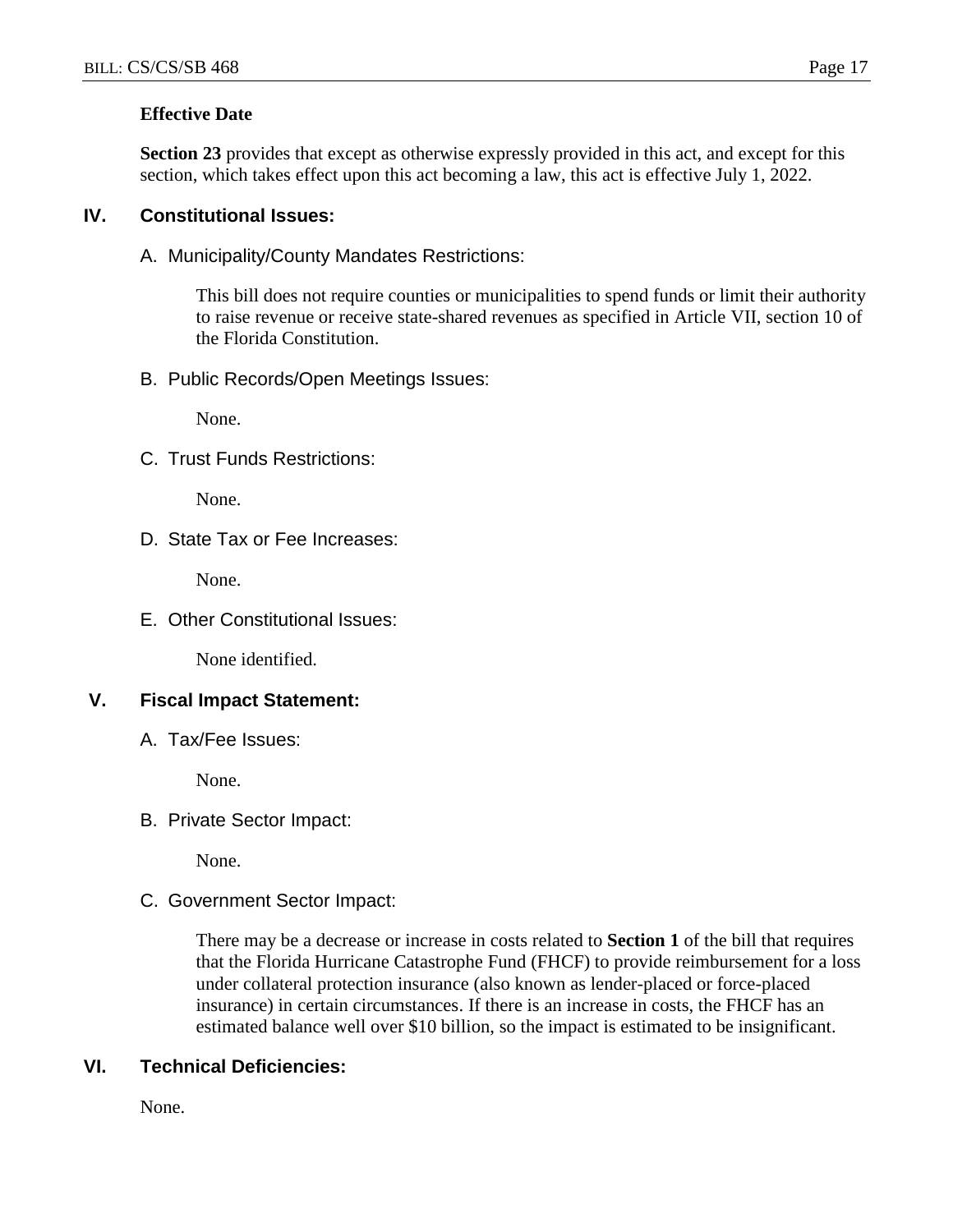# **Effective Date**

**Section 23** provides that except as otherwise expressly provided in this act, and except for this section, which takes effect upon this act becoming a law, this act is effective July 1, 2022.

# **IV. Constitutional Issues:**

A. Municipality/County Mandates Restrictions:

This bill does not require counties or municipalities to spend funds or limit their authority to raise revenue or receive state-shared revenues as specified in Article VII, section 10 of the Florida Constitution.

B. Public Records/Open Meetings Issues:

None.

C. Trust Funds Restrictions:

None.

D. State Tax or Fee Increases:

None.

E. Other Constitutional Issues:

None identified.

# **V. Fiscal Impact Statement:**

A. Tax/Fee Issues:

None.

B. Private Sector Impact:

None.

C. Government Sector Impact:

There may be a decrease or increase in costs related to **Section 1** of the bill that requires that the Florida Hurricane Catastrophe Fund (FHCF) to provide reimbursement for a loss under collateral protection insurance (also known as lender-placed or force-placed insurance) in certain circumstances. If there is an increase in costs, the FHCF has an estimated balance well over \$10 billion, so the impact is estimated to be insignificant.

# **VI. Technical Deficiencies:**

None.